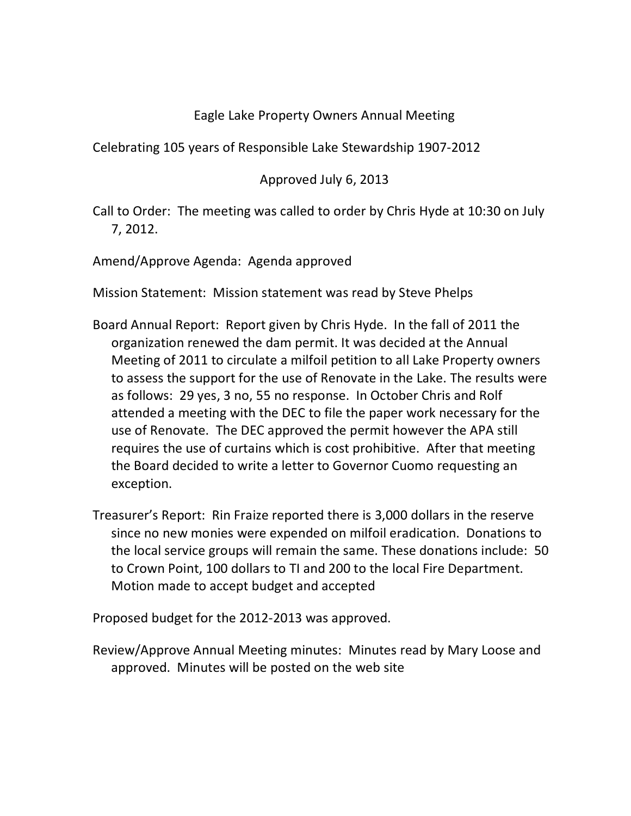## Eagle Lake Property Owners Annual Meeting

Celebrating 105 years of Responsible Lake Stewardship 1907-2012

## Approved July 6, 2013

Call to Order: The meeting was called to order by Chris Hyde at 10:30 on July 7, 2012.

Amend/Approve Agenda: Agenda approved

Mission Statement: Mission statement was read by Steve Phelps

- Board Annual Report: Report given by Chris Hyde. In the fall of 2011 the organization renewed the dam permit. It was decided at the Annual Meeting of 2011 to circulate a milfoil petition to all Lake Property owners to assess the support for the use of Renovate in the Lake. The results were as follows: 29 yes, 3 no, 55 no response. In October Chris and Rolf attended a meeting with the DEC to file the paper work necessary for the use of Renovate. The DEC approved the permit however the APA still requires the use of curtains which is cost prohibitive. After that meeting the Board decided to write a letter to Governor Cuomo requesting an exception.
- Treasurer's Report: Rin Fraize reported there is 3,000 dollars in the reserve since no new monies were expended on milfoil eradication. Donations to the local service groups will remain the same. These donations include: 50 to Crown Point, 100 dollars to TI and 200 to the local Fire Department. Motion made to accept budget and accepted

Proposed budget for the 2012-2013 was approved.

Review/Approve Annual Meeting minutes: Minutes read by Mary Loose and approved. Minutes will be posted on the web site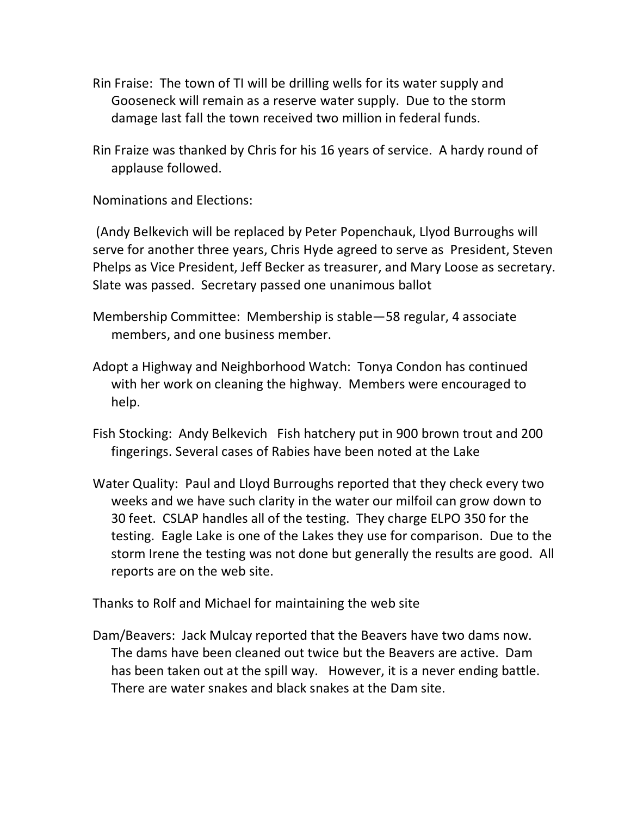- Rin Fraise: The town of TI will be drilling wells for its water supply and Gooseneck will remain as a reserve water supply. Due to the storm damage last fall the town received two million in federal funds.
- Rin Fraize was thanked by Chris for his 16 years of service. A hardy round of applause followed.

Nominations and Elections:

(Andy Belkevich will be replaced by Peter Popenchauk, Llyod Burroughs will serve for another three years, Chris Hyde agreed to serve as President, Steven Phelps as Vice President, Jeff Becker as treasurer, and Mary Loose as secretary. Slate was passed. Secretary passed one unanimous ballot

- Membership Committee: Membership is stable—58 regular, 4 associate members, and one business member.
- Adopt a Highway and Neighborhood Watch: Tonya Condon has continued with her work on cleaning the highway. Members were encouraged to help.
- Fish Stocking: Andy Belkevich Fish hatchery put in 900 brown trout and 200 fingerings. Several cases of Rabies have been noted at the Lake
- Water Quality: Paul and Lloyd Burroughs reported that they check every two weeks and we have such clarity in the water our milfoil can grow down to 30 feet. CSLAP handles all of the testing. They charge ELPO 350 for the testing. Eagle Lake is one of the Lakes they use for comparison. Due to the storm Irene the testing was not done but generally the results are good. All reports are on the web site.

Thanks to Rolf and Michael for maintaining the web site

Dam/Beavers: Jack Mulcay reported that the Beavers have two dams now. The dams have been cleaned out twice but the Beavers are active. Dam has been taken out at the spill way. However, it is a never ending battle. There are water snakes and black snakes at the Dam site.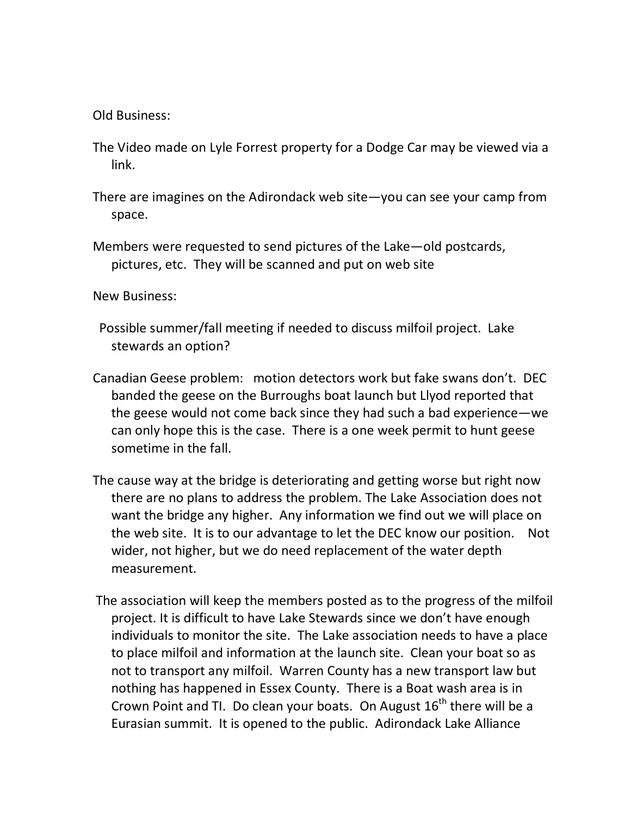Old Business:

- The Video made on Lyle Forrest property for a Dodge Car may be viewed via a link.
- There are imagines on the Adirondack web site—you can see your camp from space.
- Members were requested to send pictures of the Lake—old postcards, pictures, etc. They will be scanned and put on web site

New Business:

- Possible summer/fall meeting if needed to discuss milfoil project. Lake stewards an option?
- Canadian Geese problem: motion detectors work but fake swans don't. DEC banded the geese on the Burroughs boat launch but Llyod reported that the geese would not come back since they had such a bad experience—we can only hope this is the case. There is a one week permit to hunt geese sometime in the fall.
- The cause way at the bridge is deteriorating and getting worse but right now there are no plans to address the problem. The Lake Association does not want the bridge any higher. Any information we find out we will place on the web site. It is to our advantage to let the DEC know our position. Not wider, not higher, but we do need replacement of the water depth measurement.
- The association will keep the members posted as to the progress of the milfoil project. It is difficult to have Lake Stewards since we don't have enough individuals to monitor the site. The Lake association needs to have a place to place milfoil and information at the launch site. Clean your boat so as not to transport any milfoil. Warren County has a new transport law but nothing has happened in Essex County. There is a Boat wash area is in Crown Point and TI. Do clean your boats. On August  $16<sup>th</sup>$  there will be a Eurasian summit. It is opened to the public. Adirondack Lake Alliance